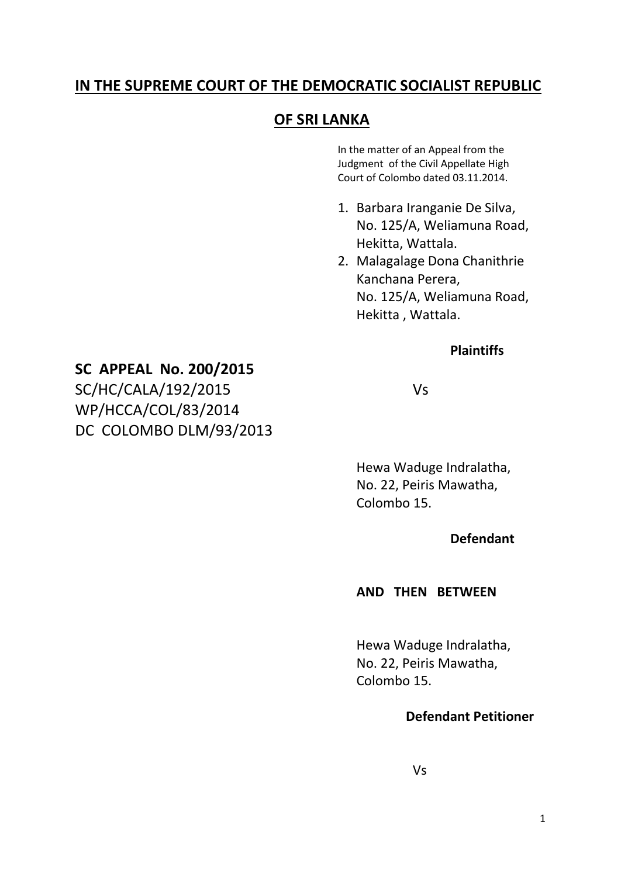# **IN THE SUPREME COURT OF THE DEMOCRATIC SOCIALIST REPUBLIC**

# **OF SRI LANKA**

In the matter of an Appeal from the Judgment of the Civil Appellate High Court of Colombo dated 03.11.2014.

- 1. Barbara Iranganie De Silva, No. 125/A, Weliamuna Road, Hekitta, Wattala.
- 2. Malagalage Dona Chanithrie Kanchana Perera, No. 125/A, Weliamuna Road, Hekitta , Wattala.

### **Plaintiffs**

### **SC APPEAL No. 200/2015**

SC/HC/CALA/192/2015 Vs WP/HCCA/COL/83/2014 DC COLOMBO DLM/93/2013

Hewa Waduge Indralatha, No. 22, Peiris Mawatha, Colombo 15.

#### **Defendant**

#### **AND THEN BETWEEN**

Hewa Waduge Indralatha, No. 22, Peiris Mawatha, Colombo 15.

#### **Defendant Petitioner**

Vs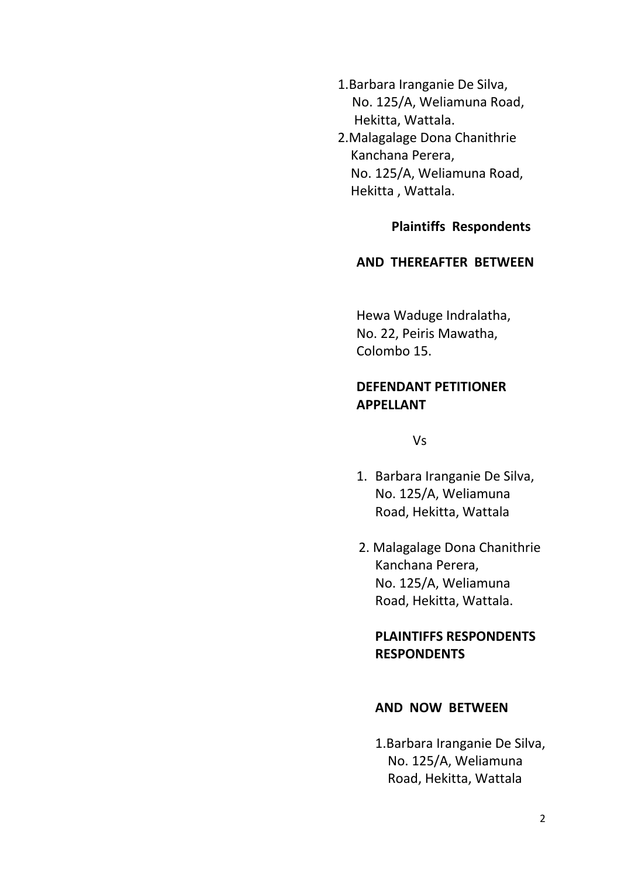- 1.Barbara Iranganie De Silva, No. 125/A, Weliamuna Road, Hekitta, Wattala.
- 2.Malagalage Dona Chanithrie Kanchana Perera, No. 125/A, Weliamuna Road, Hekitta , Wattala.

#### **Plaintiffs Respondents**

#### **AND THEREAFTER BETWEEN**

Hewa Waduge Indralatha, No. 22, Peiris Mawatha, Colombo 15.

### **DEFENDANT PETITIONER APPELLANT**

Vs

- 1. Barbara Iranganie De Silva, No. 125/A, Weliamuna Road, Hekitta, Wattala
- 2. Malagalage Dona Chanithrie Kanchana Perera, No. 125/A, Weliamuna Road, Hekitta, Wattala.

# **PLAINTIFFS RESPONDENTS RESPONDENTS**

#### **AND NOW BETWEEN**

1.Barbara Iranganie De Silva, No. 125/A, Weliamuna Road, Hekitta, Wattala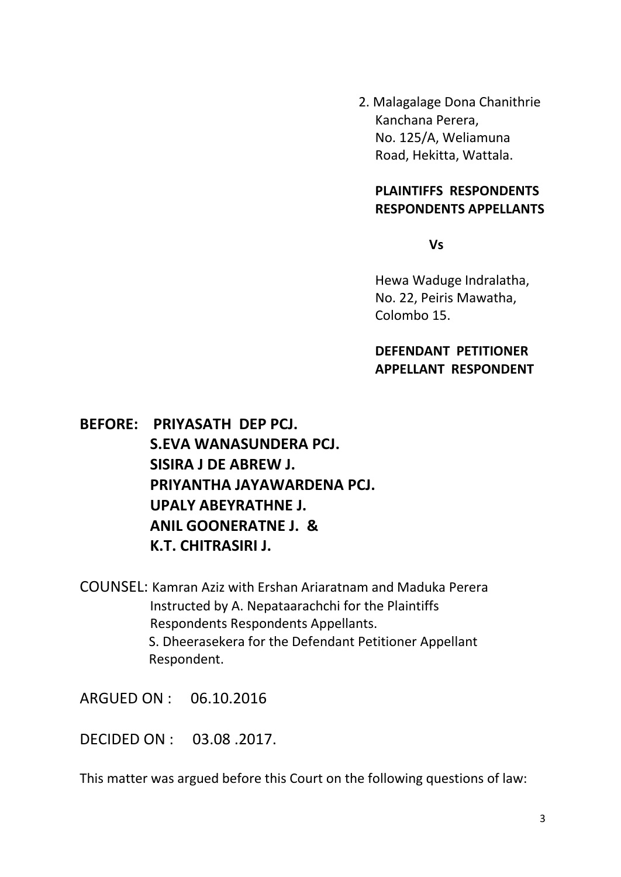2. Malagalage Dona Chanithrie Kanchana Perera, No. 125/A, Weliamuna Road, Hekitta, Wattala.

#### **PLAINTIFFS RESPONDENTS RESPONDENTS APPELLANTS**

**Vs**

Hewa Waduge Indralatha, No. 22, Peiris Mawatha, Colombo 15.

# **DEFENDANT PETITIONER APPELLANT RESPONDENT**

**BEFORE: PRIYASATH DEP PCJ. S.EVA WANASUNDERA PCJ. SISIRA J DE ABREW J. PRIYANTHA JAYAWARDENA PCJ. UPALY ABEYRATHNE J. ANIL GOONERATNE J. & K.T. CHITRASIRI J.**

COUNSEL: Kamran Aziz with Ershan Ariaratnam and Maduka Perera Instructed by A. Nepataarachchi for the Plaintiffs Respondents Respondents Appellants. S. Dheerasekera for the Defendant Petitioner Appellant Respondent.

ARGUED ON : 06.10.2016

DECIDED ON : 03.08 .2017.

This matter was argued before this Court on the following questions of law: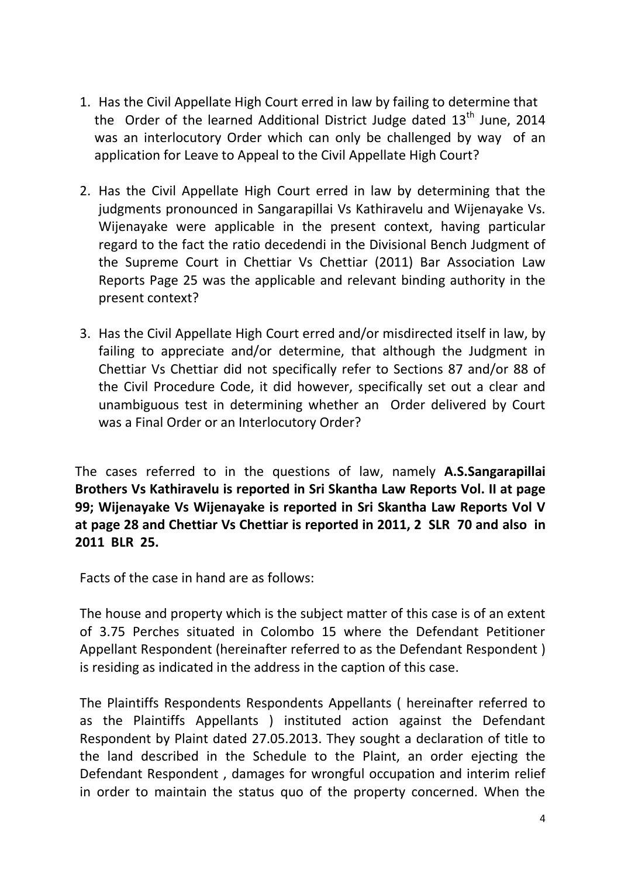- 1. Has the Civil Appellate High Court erred in law by failing to determine that the Order of the learned Additional District Judge dated  $13<sup>th</sup>$  June, 2014 was an interlocutory Order which can only be challenged by way of an application for Leave to Appeal to the Civil Appellate High Court?
- 2. Has the Civil Appellate High Court erred in law by determining that the judgments pronounced in Sangarapillai Vs Kathiravelu and Wijenayake Vs. Wijenayake were applicable in the present context, having particular regard to the fact the ratio decedendi in the Divisional Bench Judgment of the Supreme Court in Chettiar Vs Chettiar (2011) Bar Association Law Reports Page 25 was the applicable and relevant binding authority in the present context?
- 3. Has the Civil Appellate High Court erred and/or misdirected itself in law, by failing to appreciate and/or determine, that although the Judgment in Chettiar Vs Chettiar did not specifically refer to Sections 87 and/or 88 of the Civil Procedure Code, it did however, specifically set out a clear and unambiguous test in determining whether an Order delivered by Court was a Final Order or an Interlocutory Order?

The cases referred to in the questions of law, namely **A.S.Sangarapillai Brothers Vs Kathiravelu is reported in Sri Skantha Law Reports Vol. II at page 99; Wijenayake Vs Wijenayake is reported in Sri Skantha Law Reports Vol V at page 28 and Chettiar Vs Chettiar is reported in 2011, 2 SLR 70 and also in 2011 BLR 25.**

Facts of the case in hand are as follows:

The house and property which is the subject matter of this case is of an extent of 3.75 Perches situated in Colombo 15 where the Defendant Petitioner Appellant Respondent (hereinafter referred to as the Defendant Respondent ) is residing as indicated in the address in the caption of this case.

The Plaintiffs Respondents Respondents Appellants ( hereinafter referred to as the Plaintiffs Appellants ) instituted action against the Defendant Respondent by Plaint dated 27.05.2013. They sought a declaration of title to the land described in the Schedule to the Plaint, an order ejecting the Defendant Respondent , damages for wrongful occupation and interim relief in order to maintain the status quo of the property concerned. When the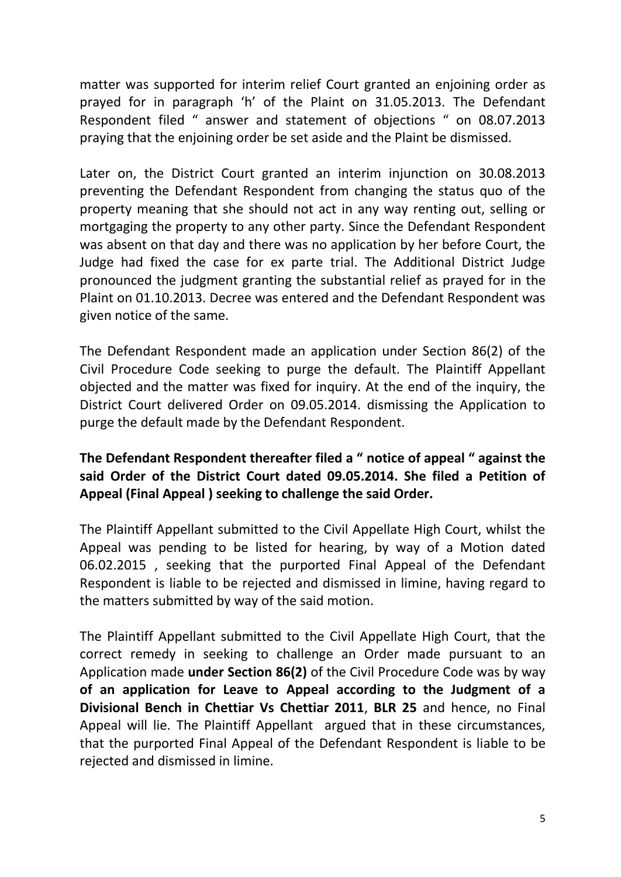matter was supported for interim relief Court granted an enjoining order as prayed for in paragraph 'h' of the Plaint on 31.05.2013. The Defendant Respondent filed " answer and statement of objections " on 08.07.2013 praying that the enjoining order be set aside and the Plaint be dismissed.

Later on, the District Court granted an interim injunction on 30.08.2013 preventing the Defendant Respondent from changing the status quo of the property meaning that she should not act in any way renting out, selling or mortgaging the property to any other party. Since the Defendant Respondent was absent on that day and there was no application by her before Court, the Judge had fixed the case for ex parte trial. The Additional District Judge pronounced the judgment granting the substantial relief as prayed for in the Plaint on 01.10.2013. Decree was entered and the Defendant Respondent was given notice of the same.

The Defendant Respondent made an application under Section 86(2) of the Civil Procedure Code seeking to purge the default. The Plaintiff Appellant objected and the matter was fixed for inquiry. At the end of the inquiry, the District Court delivered Order on 09.05.2014. dismissing the Application to purge the default made by the Defendant Respondent.

# **The Defendant Respondent thereafter filed a " notice of appeal " against the said Order of the District Court dated 09.05.2014. She filed a Petition of Appeal (Final Appeal ) seeking to challenge the said Order.**

The Plaintiff Appellant submitted to the Civil Appellate High Court, whilst the Appeal was pending to be listed for hearing, by way of a Motion dated 06.02.2015 , seeking that the purported Final Appeal of the Defendant Respondent is liable to be rejected and dismissed in limine, having regard to the matters submitted by way of the said motion.

The Plaintiff Appellant submitted to the Civil Appellate High Court, that the correct remedy in seeking to challenge an Order made pursuant to an Application made **under Section 86(2)** of the Civil Procedure Code was by way **of an application for Leave to Appeal according to the Judgment of a Divisional Bench in Chettiar Vs Chettiar 2011**, **BLR 25** and hence, no Final Appeal will lie. The Plaintiff Appellant argued that in these circumstances, that the purported Final Appeal of the Defendant Respondent is liable to be rejected and dismissed in limine.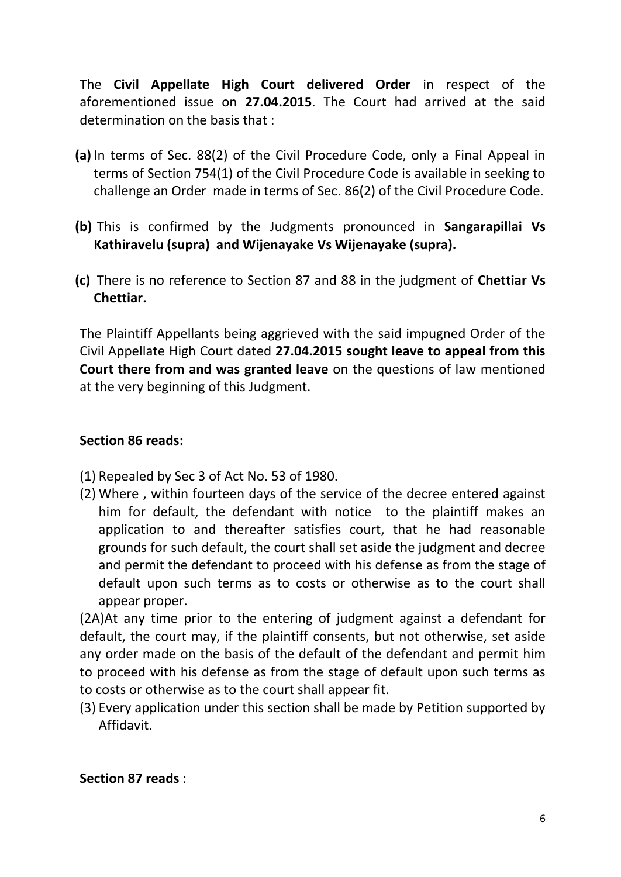The **Civil Appellate High Court delivered Order** in respect of the aforementioned issue on **27.04.2015**. The Court had arrived at the said determination on the basis that :

- **(a)** In terms of Sec. 88(2) of the Civil Procedure Code, only a Final Appeal in terms of Section 754(1) of the Civil Procedure Code is available in seeking to challenge an Order made in terms of Sec. 86(2) of the Civil Procedure Code.
- **(b)** This is confirmed by the Judgments pronounced in **Sangarapillai Vs Kathiravelu (supra) and Wijenayake Vs Wijenayake (supra).**
- **(c)** There is no reference to Section 87 and 88 in the judgment of **Chettiar Vs Chettiar.**

The Plaintiff Appellants being aggrieved with the said impugned Order of the Civil Appellate High Court dated **27.04.2015 sought leave to appeal from this Court there from and was granted leave** on the questions of law mentioned at the very beginning of this Judgment.

# **Section 86 reads:**

- (1) Repealed by Sec 3 of Act No. 53 of 1980.
- (2) Where , within fourteen days of the service of the decree entered against him for default, the defendant with notice to the plaintiff makes an application to and thereafter satisfies court, that he had reasonable grounds for such default, the court shall set aside the judgment and decree and permit the defendant to proceed with his defense as from the stage of default upon such terms as to costs or otherwise as to the court shall appear proper.

(2A)At any time prior to the entering of judgment against a defendant for default, the court may, if the plaintiff consents, but not otherwise, set aside any order made on the basis of the default of the defendant and permit him to proceed with his defense as from the stage of default upon such terms as to costs or otherwise as to the court shall appear fit.

(3) Every application under this section shall be made by Petition supported by Affidavit.

## **Section 87 reads** :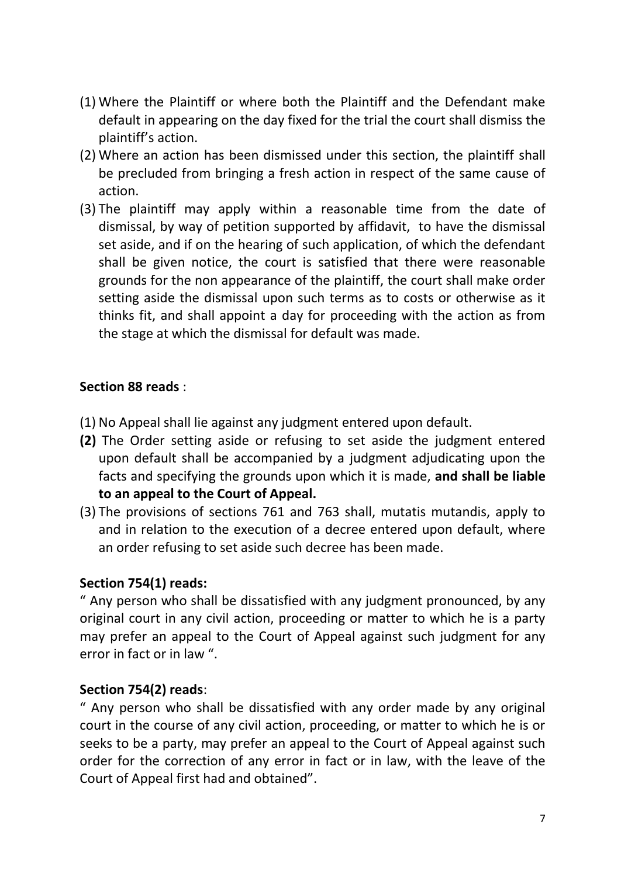- (1) Where the Plaintiff or where both the Plaintiff and the Defendant make default in appearing on the day fixed for the trial the court shall dismiss the plaintiff's action.
- (2) Where an action has been dismissed under this section, the plaintiff shall be precluded from bringing a fresh action in respect of the same cause of action.
- (3) The plaintiff may apply within a reasonable time from the date of dismissal, by way of petition supported by affidavit, to have the dismissal set aside, and if on the hearing of such application, of which the defendant shall be given notice, the court is satisfied that there were reasonable grounds for the non appearance of the plaintiff, the court shall make order setting aside the dismissal upon such terms as to costs or otherwise as it thinks fit, and shall appoint a day for proceeding with the action as from the stage at which the dismissal for default was made.

## **Section 88 reads** :

- (1) No Appeal shall lie against any judgment entered upon default.
- **(2)** The Order setting aside or refusing to set aside the judgment entered upon default shall be accompanied by a judgment adjudicating upon the facts and specifying the grounds upon which it is made, **and shall be liable to an appeal to the Court of Appeal.**
- (3) The provisions of sections 761 and 763 shall, mutatis mutandis, apply to and in relation to the execution of a decree entered upon default, where an order refusing to set aside such decree has been made.

# **Section 754(1) reads:**

" Any person who shall be dissatisfied with any judgment pronounced, by any original court in any civil action, proceeding or matter to which he is a party may prefer an appeal to the Court of Appeal against such judgment for any error in fact or in law ".

## **Section 754(2) reads**:

" Any person who shall be dissatisfied with any order made by any original court in the course of any civil action, proceeding, or matter to which he is or seeks to be a party, may prefer an appeal to the Court of Appeal against such order for the correction of any error in fact or in law, with the leave of the Court of Appeal first had and obtained".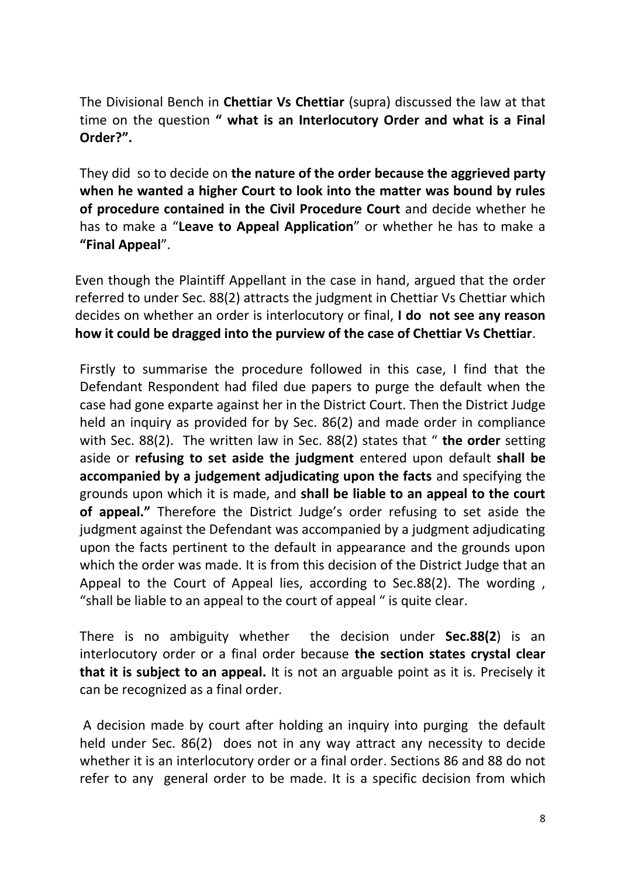The Divisional Bench in **Chettiar Vs Chettiar** (supra) discussed the law at that time on the question **" what is an Interlocutory Order and what is a Final Order?".** 

They did so to decide on **the nature of the order because the aggrieved party when he wanted a higher Court to look into the matter was bound by rules of procedure contained in the Civil Procedure Court** and decide whether he has to make a "**Leave to Appeal Application**" or whether he has to make a **"Final Appeal**".

Even though the Plaintiff Appellant in the case in hand, argued that the order referred to under Sec. 88(2) attracts the judgment in Chettiar Vs Chettiar which decides on whether an order is interlocutory or final, **I do not see any reason how it could be dragged into the purview of the case of Chettiar Vs Chettiar**.

Firstly to summarise the procedure followed in this case, I find that the Defendant Respondent had filed due papers to purge the default when the case had gone exparte against her in the District Court. Then the District Judge held an inquiry as provided for by Sec. 86(2) and made order in compliance with Sec. 88(2). The written law in Sec. 88(2) states that " **the order** setting aside or **refusing to set aside the judgment** entered upon default **shall be accompanied by a judgement adjudicating upon the facts** and specifying the grounds upon which it is made, and **shall be liable to an appeal to the court of appeal."** Therefore the District Judge's order refusing to set aside the judgment against the Defendant was accompanied by a judgment adjudicating upon the facts pertinent to the default in appearance and the grounds upon which the order was made. It is from this decision of the District Judge that an Appeal to the Court of Appeal lies, according to Sec.88(2). The wording , "shall be liable to an appeal to the court of appeal " is quite clear.

There is no ambiguity whether the decision under **Sec.88(2**) is an interlocutory order or a final order because **the section states crystal clear that it is subject to an appeal.** It is not an arguable point as it is. Precisely it can be recognized as a final order.

A decision made by court after holding an inquiry into purging the default held under Sec. 86(2) does not in any way attract any necessity to decide whether it is an interlocutory order or a final order. Sections 86 and 88 do not refer to any general order to be made. It is a specific decision from which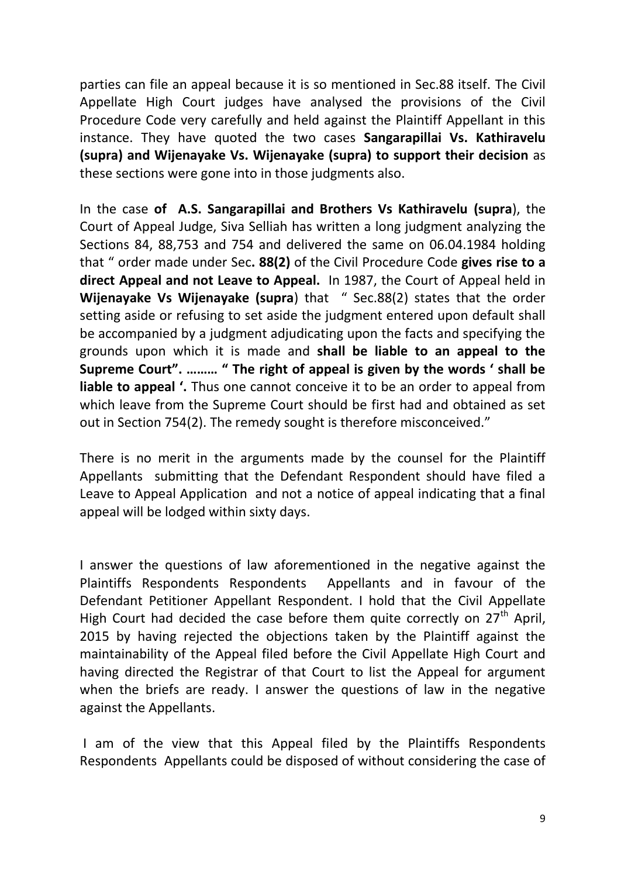parties can file an appeal because it is so mentioned in Sec.88 itself. The Civil Appellate High Court judges have analysed the provisions of the Civil Procedure Code very carefully and held against the Plaintiff Appellant in this instance. They have quoted the two cases **Sangarapillai Vs. Kathiravelu (supra) and Wijenayake Vs. Wijenayake (supra) to support their decision** as these sections were gone into in those judgments also.

In the case **of A.S. Sangarapillai and Brothers Vs Kathiravelu (supra**), the Court of Appeal Judge, Siva Selliah has written a long judgment analyzing the Sections 84, 88,753 and 754 and delivered the same on 06.04.1984 holding that " order made under Sec**. 88(2)** of the Civil Procedure Code **gives rise to a direct Appeal and not Leave to Appeal.** In 1987, the Court of Appeal held in **Wijenayake Vs Wijenayake (supra**) that " Sec.88(2) states that the order setting aside or refusing to set aside the judgment entered upon default shall be accompanied by a judgment adjudicating upon the facts and specifying the grounds upon which it is made and **shall be liable to an appeal to the Supreme Court". ……… " The right of appeal is given by the words ' shall be liable to appeal '.** Thus one cannot conceive it to be an order to appeal from which leave from the Supreme Court should be first had and obtained as set out in Section 754(2). The remedy sought is therefore misconceived."

There is no merit in the arguments made by the counsel for the Plaintiff Appellants submitting that the Defendant Respondent should have filed a Leave to Appeal Application and not a notice of appeal indicating that a final appeal will be lodged within sixty days.

I answer the questions of law aforementioned in the negative against the Plaintiffs Respondents Respondents Appellants and in favour of the Defendant Petitioner Appellant Respondent. I hold that the Civil Appellate High Court had decided the case before them quite correctly on  $27<sup>th</sup>$  April, 2015 by having rejected the objections taken by the Plaintiff against the maintainability of the Appeal filed before the Civil Appellate High Court and having directed the Registrar of that Court to list the Appeal for argument when the briefs are ready. I answer the questions of law in the negative against the Appellants.

I am of the view that this Appeal filed by the Plaintiffs Respondents Respondents Appellants could be disposed of without considering the case of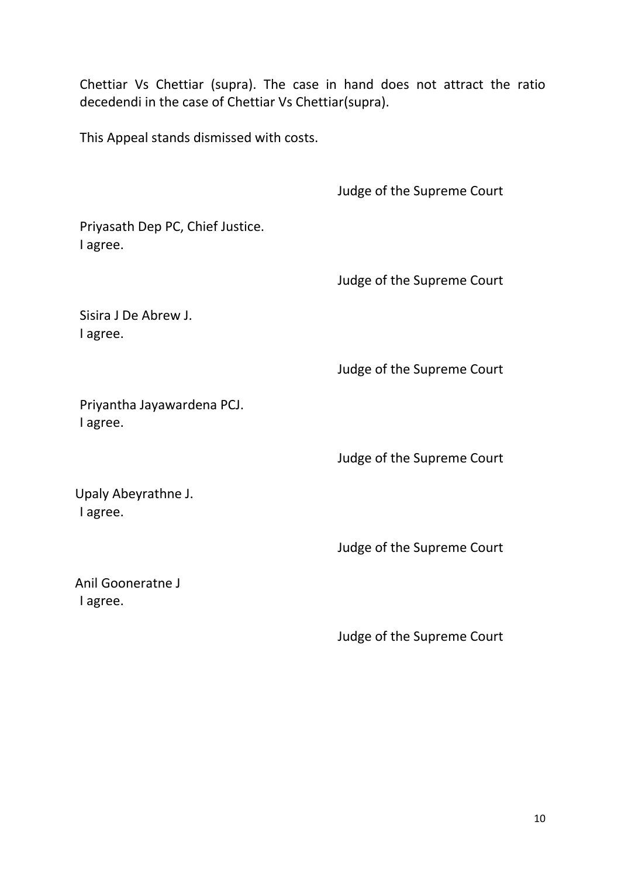Chettiar Vs Chettiar (supra). The case in hand does not attract the ratio decedendi in the case of Chettiar Vs Chettiar(supra).

This Appeal stands dismissed with costs.

Judge of the Supreme Court

Priyasath Dep PC, Chief Justice. I agree.

Judge of the Supreme Court

Sisira J De Abrew J. I agree.

Judge of the Supreme Court

Priyantha Jayawardena PCJ. I agree.

Judge of the Supreme Court

Upaly Abeyrathne J. I agree.

Judge of the Supreme Court

Anil Gooneratne J I agree.

Judge of the Supreme Court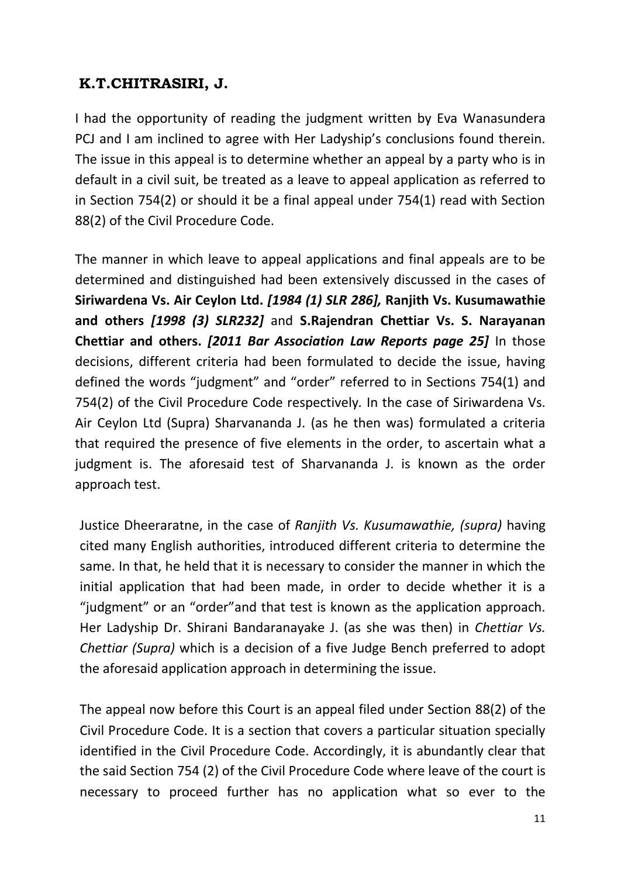# **K.T.CHITRASIRI, J.**

I had the opportunity of reading the judgment written by Eva Wanasundera PCJ and I am inclined to agree with Her Ladyship's conclusions found therein. The issue in this appeal is to determine whether an appeal by a party who is in default in a civil suit, be treated as a leave to appeal application as referred to in Section 754(2) or should it be a final appeal under 754(1) read with Section 88(2) of the Civil Procedure Code.

The manner in which leave to appeal applications and final appeals are to be determined and distinguished had been extensively discussed in the cases of **Siriwardena Vs. Air Ceylon Ltd.** *[1984 (1) SLR 286],* **Ranjith Vs. Kusumawathie and others** *[1998 (3) SLR232]* and **S.Rajendran Chettiar Vs. S. Narayanan Chettiar and others.** *[2011 Bar Association Law Reports page 25]* In those decisions, different criteria had been formulated to decide the issue, having defined the words "judgment" and "order" referred to in Sections 754(1) and 754(2) of the Civil Procedure Code respectively*.* In the case of Siriwardena Vs. Air Ceylon Ltd (Supra) Sharvananda J. (as he then was) formulated a criteria that required the presence of five elements in the order, to ascertain what a judgment is. The aforesaid test of Sharvananda J. is known as the order approach test.

Justice Dheeraratne, in the case of *Ranjith Vs. Kusumawathie, (supra)* having cited many English authorities, introduced different criteria to determine the same. In that, he held that it is necessary to consider the manner in which the initial application that had been made, in order to decide whether it is a "judgment" or an "order"and that test is known as the application approach. Her Ladyship Dr. Shirani Bandaranayake J. (as she was then) in *Chettiar Vs. Chettiar (Supra)* which is a decision of a five Judge Bench preferred to adopt the aforesaid application approach in determining the issue.

The appeal now before this Court is an appeal filed under Section 88(2) of the Civil Procedure Code. It is a section that covers a particular situation specially identified in the Civil Procedure Code. Accordingly, it is abundantly clear that the said Section 754 (2) of the Civil Procedure Code where leave of the court is necessary to proceed further has no application what so ever to the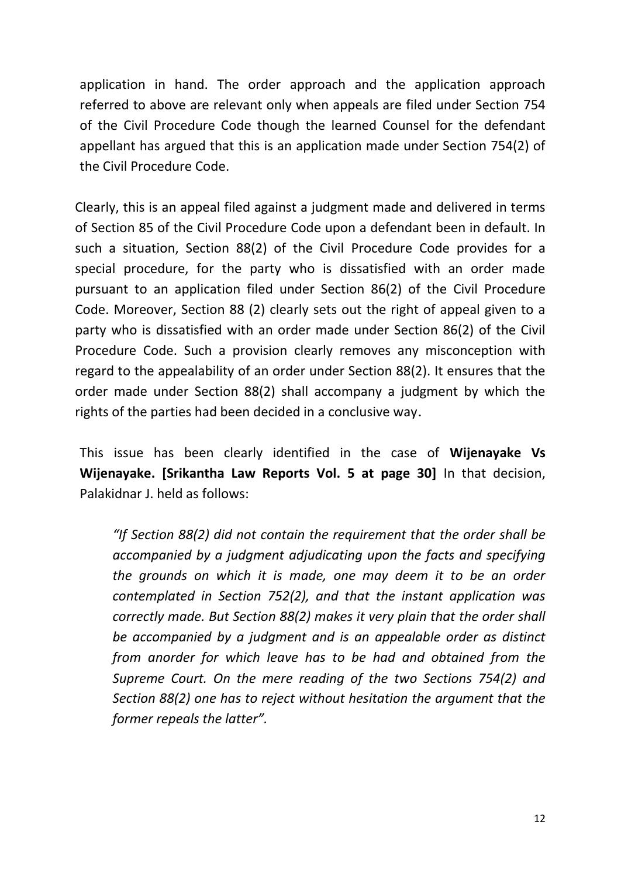application in hand. The order approach and the application approach referred to above are relevant only when appeals are filed under Section 754 of the Civil Procedure Code though the learned Counsel for the defendant appellant has argued that this is an application made under Section 754(2) of the Civil Procedure Code.

Clearly, this is an appeal filed against a judgment made and delivered in terms of Section 85 of the Civil Procedure Code upon a defendant been in default. In such a situation, Section 88(2) of the Civil Procedure Code provides for a special procedure, for the party who is dissatisfied with an order made pursuant to an application filed under Section 86(2) of the Civil Procedure Code. Moreover, Section 88 (2) clearly sets out the right of appeal given to a party who is dissatisfied with an order made under Section 86(2) of the Civil Procedure Code. Such a provision clearly removes any misconception with regard to the appealability of an order under Section 88(2). It ensures that the order made under Section 88(2) shall accompany a judgment by which the rights of the parties had been decided in a conclusive way.

This issue has been clearly identified in the case of **Wijenayake Vs Wijenayake. [Srikantha Law Reports Vol. 5 at page 30]** In that decision, Palakidnar J. held as follows:

*"If Section 88(2) did not contain the requirement that the order shall be accompanied by a judgment adjudicating upon the facts and specifying the grounds on which it is made, one may deem it to be an order contemplated in Section 752(2), and that the instant application was correctly made. But Section 88(2) makes it very plain that the order shall be accompanied by a judgment and is an appealable order as distinct from anorder for which leave has to be had and obtained from the Supreme Court. On the mere reading of the two Sections 754(2) and Section 88(2) one has to reject without hesitation the argument that the former repeals the latter".*